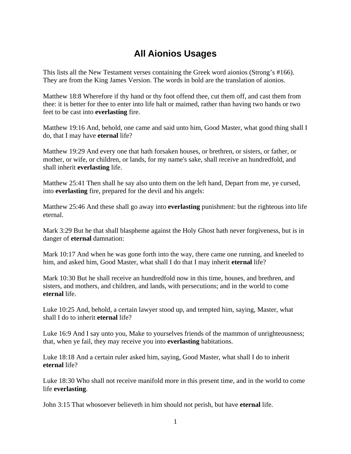## **All Aionios Usages**

This lists all the New Testament verses containing the Greek word aionios (Strong's #166). They are from the King James Version. The words in bold are the translation of aionios.

Matthew 18:8 Wherefore if thy hand or thy foot offend thee, cut them off, and cast them from thee: it is better for thee to enter into life halt or maimed, rather than having two hands or two feet to be cast into **everlasting** fire.

Matthew 19:16 And, behold, one came and said unto him, Good Master, what good thing shall I do, that I may have **eternal** life?

Matthew 19:29 And every one that hath forsaken houses, or brethren, or sisters, or father, or mother, or wife, or children, or lands, for my name's sake, shall receive an hundredfold, and shall inherit **everlasting** life.

Matthew 25:41 Then shall he say also unto them on the left hand, Depart from me, ye cursed, into **everlasting** fire, prepared for the devil and his angels:

Matthew 25:46 And these shall go away into **everlasting** punishment: but the righteous into life eternal.

Mark 3:29 But he that shall blaspheme against the Holy Ghost hath never forgiveness, but is in danger of **eternal** damnation:

Mark 10:17 And when he was gone forth into the way, there came one running, and kneeled to him, and asked him, Good Master, what shall I do that I may inherit **eternal** life?

Mark 10:30 But he shall receive an hundredfold now in this time, houses, and brethren, and sisters, and mothers, and children, and lands, with persecutions; and in the world to come **eternal** life.

Luke 10:25 And, behold, a certain lawyer stood up, and tempted him, saying, Master, what shall I do to inherit **eternal** life?

Luke 16:9 And I say unto you, Make to yourselves friends of the mammon of unrighteousness; that, when ye fail, they may receive you into **everlasting** habitations.

Luke 18:18 And a certain ruler asked him, saying, Good Master, what shall I do to inherit **eternal** life?

Luke 18:30 Who shall not receive manifold more in this present time, and in the world to come life **everlasting**.

John 3:15 That whosoever believeth in him should not perish, but have **eternal** life.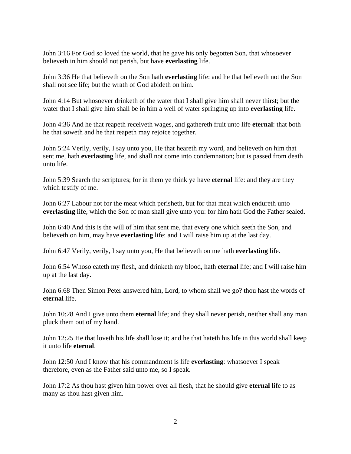John 3:16 For God so loved the world, that he gave his only begotten Son, that whosoever believeth in him should not perish, but have **everlasting** life.

John 3:36 He that believeth on the Son hath **everlasting** life: and he that believeth not the Son shall not see life; but the wrath of God abideth on him.

John 4:14 But whosoever drinketh of the water that I shall give him shall never thirst; but the water that I shall give him shall be in him a well of water springing up into **everlasting** life.

John 4:36 And he that reapeth receiveth wages, and gathereth fruit unto life **eternal**: that both he that soweth and he that reapeth may rejoice together.

John 5:24 Verily, verily, I say unto you, He that heareth my word, and believeth on him that sent me, hath **everlasting** life, and shall not come into condemnation; but is passed from death unto life.

John 5:39 Search the scriptures; for in them ye think ye have **eternal** life: and they are they which testify of me.

John 6:27 Labour not for the meat which perisheth, but for that meat which endureth unto **everlasting** life, which the Son of man shall give unto you: for him hath God the Father sealed.

John 6:40 And this is the will of him that sent me, that every one which seeth the Son, and believeth on him, may have **everlasting** life: and I will raise him up at the last day.

John 6:47 Verily, verily, I say unto you, He that believeth on me hath **everlasting** life.

John 6:54 Whoso eateth my flesh, and drinketh my blood, hath **eternal** life; and I will raise him up at the last day.

John 6:68 Then Simon Peter answered him, Lord, to whom shall we go? thou hast the words of **eternal** life.

John 10:28 And I give unto them **eternal** life; and they shall never perish, neither shall any man pluck them out of my hand.

John 12:25 He that loveth his life shall lose it; and he that hateth his life in this world shall keep it unto life **eternal**.

John 12:50 And I know that his commandment is life **everlasting**: whatsoever I speak therefore, even as the Father said unto me, so I speak.

John 17:2 As thou hast given him power over all flesh, that he should give **eternal** life to as many as thou hast given him.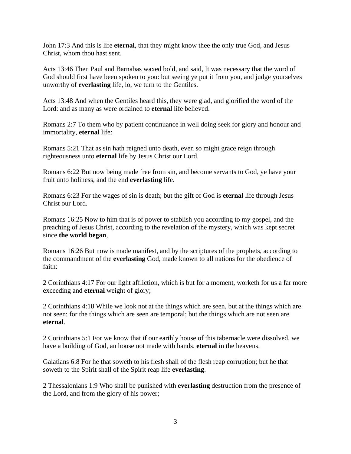John 17:3 And this is life **eternal**, that they might know thee the only true God, and Jesus Christ, whom thou hast sent.

Acts 13:46 Then Paul and Barnabas waxed bold, and said, It was necessary that the word of God should first have been spoken to you: but seeing ye put it from you, and judge yourselves unworthy of **everlasting** life, lo, we turn to the Gentiles.

Acts 13:48 And when the Gentiles heard this, they were glad, and glorified the word of the Lord: and as many as were ordained to **eternal** life believed.

Romans 2:7 To them who by patient continuance in well doing seek for glory and honour and immortality, **eternal** life:

Romans 5:21 That as sin hath reigned unto death, even so might grace reign through righteousness unto **eternal** life by Jesus Christ our Lord.

Romans 6:22 But now being made free from sin, and become servants to God, ye have your fruit unto holiness, and the end **everlasting** life.

Romans 6:23 For the wages of sin is death; but the gift of God is **eternal** life through Jesus Christ our Lord.

Romans 16:25 Now to him that is of power to stablish you according to my gospel, and the preaching of Jesus Christ, according to the revelation of the mystery, which was kept secret since **the world began**,

Romans 16:26 But now is made manifest, and by the scriptures of the prophets, according to the commandment of the **everlasting** God, made known to all nations for the obedience of faith:

2 Corinthians 4:17 For our light affliction, which is but for a moment, worketh for us a far more exceeding and **eternal** weight of glory;

2 Corinthians 4:18 While we look not at the things which are seen, but at the things which are not seen: for the things which are seen are temporal; but the things which are not seen are **eternal**.

2 Corinthians 5:1 For we know that if our earthly house of this tabernacle were dissolved, we have a building of God, an house not made with hands, **eternal** in the heavens.

Galatians 6:8 For he that soweth to his flesh shall of the flesh reap corruption; but he that soweth to the Spirit shall of the Spirit reap life **everlasting**.

2 Thessalonians 1:9 Who shall be punished with **everlasting** destruction from the presence of the Lord, and from the glory of his power;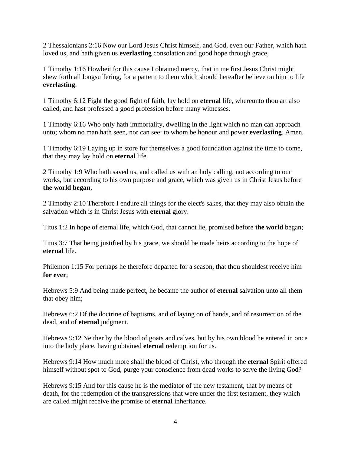2 Thessalonians 2:16 Now our Lord Jesus Christ himself, and God, even our Father, which hath loved us, and hath given us **everlasting** consolation and good hope through grace,

1 Timothy 1:16 Howbeit for this cause I obtained mercy, that in me first Jesus Christ might shew forth all longsuffering, for a pattern to them which should hereafter believe on him to life **everlasting**.

1 Timothy 6:12 Fight the good fight of faith, lay hold on **eternal** life, whereunto thou art also called, and hast professed a good profession before many witnesses.

1 Timothy 6:16 Who only hath immortality, dwelling in the light which no man can approach unto; whom no man hath seen, nor can see: to whom be honour and power **everlasting**. Amen.

1 Timothy 6:19 Laying up in store for themselves a good foundation against the time to come, that they may lay hold on **eternal** life.

2 Timothy 1:9 Who hath saved us, and called us with an holy calling, not according to our works, but according to his own purpose and grace, which was given us in Christ Jesus before **the world began**,

2 Timothy 2:10 Therefore I endure all things for the elect's sakes, that they may also obtain the salvation which is in Christ Jesus with **eternal** glory.

Titus 1:2 In hope of eternal life, which God, that cannot lie, promised before **the world** began;

Titus 3:7 That being justified by his grace, we should be made heirs according to the hope of **eternal** life.

Philemon 1:15 For perhaps he therefore departed for a season, that thou shouldest receive him **for ever**;

Hebrews 5:9 And being made perfect, he became the author of **eternal** salvation unto all them that obey him;

Hebrews 6:2 Of the doctrine of baptisms, and of laying on of hands, and of resurrection of the dead, and of **eternal** judgment.

Hebrews 9:12 Neither by the blood of goats and calves, but by his own blood he entered in once into the holy place, having obtained **eternal** redemption for us.

Hebrews 9:14 How much more shall the blood of Christ, who through the **eternal** Spirit offered himself without spot to God, purge your conscience from dead works to serve the living God?

Hebrews 9:15 And for this cause he is the mediator of the new testament, that by means of death, for the redemption of the transgressions that were under the first testament, they which are called might receive the promise of **eternal** inheritance.